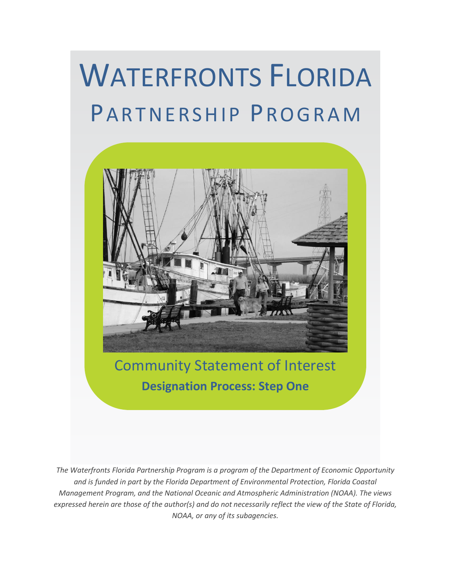# WATERFRONTS FLORIDA PARTNERSHIP PROGRAM



# Community Statement of Interest **Designation Process: Step One**

*The Waterfronts Florida Partnership Program is a program of the Department of Economic Opportunity and is funded in part by the Florida Department of Environmental Protection, Florida Coastal Management Program, and the National Oceanic and Atmospheric Administration (NOAA). The views expressed herein are those of the author(s) and do not necessarily reflect the view of the State of Florida, NOAA, or any of its subagencies.*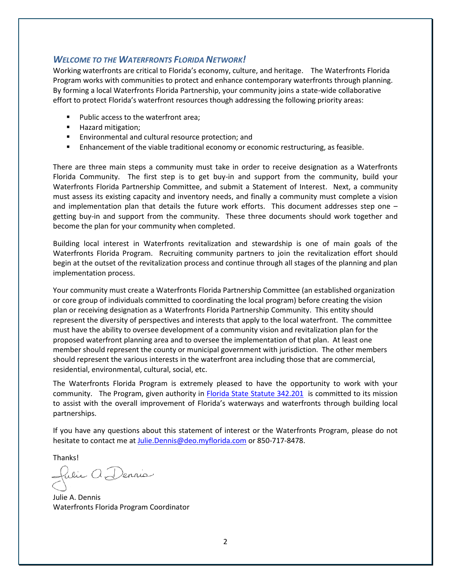#### <span id="page-1-0"></span>*WELCOME TO THE WATERFRONTS FLORIDA NETWORK!*

Working waterfronts are critical to Florida's economy, culture, and heritage. The Waterfronts Florida Program works with communities to protect and enhance contemporary waterfronts through planning. By forming a local Waterfronts Florida Partnership, your community joins a state-wide collaborative effort to protect Florida's waterfront resources though addressing the following priority areas:

- **Public access to the waterfront area;**
- **Hazard mitigation;**
- **Environmental and cultural resource protection; and**
- **Enhancement of the viable traditional economy or economic restructuring, as feasible.**

There are three main steps a community must take in order to receive designation as a Waterfronts Florida Community. The first step is to get buy-in and support from the community, build your Waterfronts Florida Partnership Committee, and submit a Statement of Interest. Next, a community must assess its existing capacity and inventory needs, and finally a community must complete a vision and implementation plan that details the future work efforts. This document addresses step one getting buy-in and support from the community. These three documents should work together and become the plan for your community when completed.

Building local interest in Waterfronts revitalization and stewardship is one of main goals of the Waterfronts Florida Program. Recruiting community partners to join the revitalization effort should begin at the outset of the revitalization process and continue through all stages of the planning and plan implementation process.

Your community must create a Waterfronts Florida Partnership Committee (an established organization or core group of individuals committed to coordinating the local program) before creating the vision plan or receiving designation as a Waterfronts Florida Partnership Community. This entity should represent the diversity of perspectives and interests that apply to the local waterfront. The committee must have the ability to oversee development of a community vision and revitalization plan for the proposed waterfront planning area and to oversee the implementation of that plan. At least one member should represent the county or municipal government with jurisdiction. The other members should represent the various interests in the waterfront area including those that are commercial, residential, environmental, cultural, social, etc.

The Waterfronts Florida Program is extremely pleased to have the opportunity to work with your community. The Program, given authority in [Florida State Statute 342.201](http://www.leg.state.fl.us/Statutes/index.cfm?App_mode=Display_Statute&Search_String=&URL=Ch0342/SEC201.HTM&Title=-%3e2008-%3eCh0342-%3eSection%20201#0342.201) is committed to its mission to assist with the overall improvement of Florida's waterways and waterfronts through building local partnerships.

If you have any questions about this statement of interest or the Waterfronts Program, please do not hesitate to contact me at [Julie.Dennis@deo.myflorida.com](mailto:Julie.Dennis@deo.myflorida.com) or 850-717-8478.

Thanks!

fulie A Dennie

Julie A. Dennis Waterfronts Florida Program Coordinator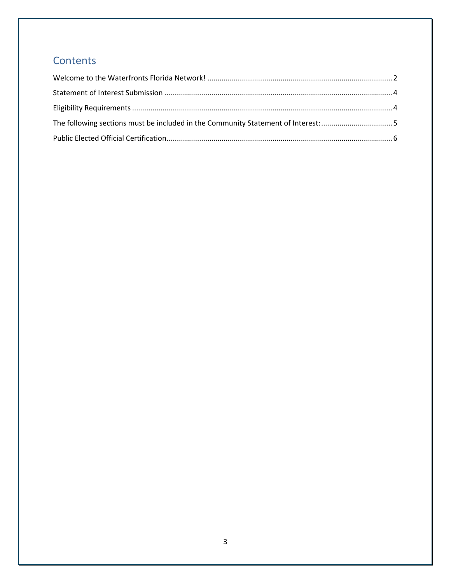## Contents

| The following sections must be included in the Community Statement of Interest: 5 |  |
|-----------------------------------------------------------------------------------|--|
|                                                                                   |  |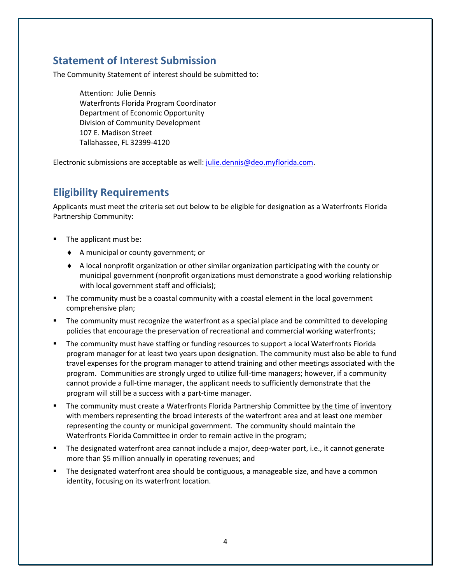#### <span id="page-3-0"></span>**Statement of Interest Submission**

The Community Statement of interest should be submitted to:

Attention: Julie Dennis Waterfronts Florida Program Coordinator Department of Economic Opportunity Division of Community Development 107 E. Madison Street Tallahassee, FL 32399-4120

<span id="page-3-1"></span>Electronic submissions are acceptable as well: [julie.dennis@deo.myflorida.com.](mailto:julie.dennis@deo.myflorida.com)

#### **Eligibility Requirements**

Applicants must meet the criteria set out below to be eligible for designation as a Waterfronts Florida Partnership Community:

- The applicant must be:
	- A municipal or county government; or
	- A local nonprofit organization or other similar organization participating with the county or municipal government (nonprofit organizations must demonstrate a good working relationship with local government staff and officials);
- **The community must be a coastal community with a coastal element in the local government** comprehensive plan;
- **The community must recognize the waterfront as a special place and be committed to developing** policies that encourage the preservation of recreational and commercial working waterfronts;
- The community must have staffing or funding resources to support a local Waterfronts Florida program manager for at least two years upon designation. The community must also be able to fund travel expenses for the program manager to attend training and other meetings associated with the program. Communities are strongly urged to utilize full-time managers; however, if a community cannot provide a full-time manager, the applicant needs to sufficiently demonstrate that the program will still be a success with a part-time manager.
- The community must create a Waterfronts Florida Partnership Committee by the time of inventory with members representing the broad interests of the waterfront area and at least one member representing the county or municipal government. The community should maintain the Waterfronts Florida Committee in order to remain active in the program;
- The designated waterfront area cannot include a major, deep-water port, i.e., it cannot generate more than \$5 million annually in operating revenues; and
- The designated waterfront area should be contiguous, a manageable size, and have a common identity, focusing on its waterfront location.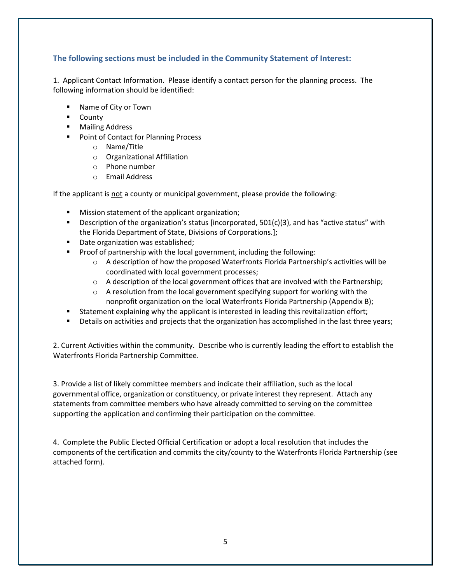#### <span id="page-4-0"></span>**The following sections must be included in the Community Statement of Interest:**

1. Applicant Contact Information. Please identify a contact person for the planning process. The following information should be identified:

- Name of City or Town
- **-** County
- **Mailing Address**
- **Point of Contact for Planning Process** 
	- o Name/Title
	- o Organizational Affiliation
	- o Phone number
	- o Email Address

If the applicant is not a county or municipal government, please provide the following:

- **Mission statement of the applicant organization;**
- **Description of the organization's status [incorporated,**  $501(c)(3)$ **, and has "active status" with** the Florida Department of State, Divisions of Corporations.];
- Date organization was established;
- **Proof of partnership with the local government, including the following:** 
	- $\circ$  A description of how the proposed Waterfronts Florida Partnership's activities will be coordinated with local government processes;
	- $\circ$  A description of the local government offices that are involved with the Partnership;
	- o A resolution from the local government specifying support for working with the nonprofit organization on the local Waterfronts Florida Partnership (Appendix B);
- **Statement explaining why the applicant is interested in leading this revitalization effort;**
- Details on activities and projects that the organization has accomplished in the last three years;

2. Current Activities within the community. Describe who is currently leading the effort to establish the Waterfronts Florida Partnership Committee.

3. Provide a list of likely committee members and indicate their affiliation, such as the local governmental office, organization or constituency, or private interest they represent. Attach any statements from committee members who have already committed to serving on the committee supporting the application and confirming their participation on the committee.

4. Complete the Public Elected Official Certification or adopt a local resolution that includes the components of the certification and commits the city/county to the Waterfronts Florida Partnership (see attached form).